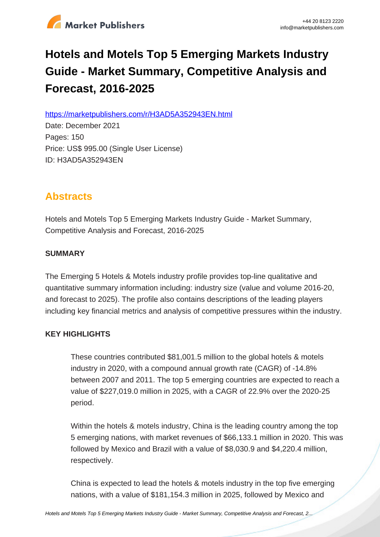

# **Hotels and Motels Top 5 Emerging Markets Industry Guide - Market Summary, Competitive Analysis and Forecast, 2016-2025**

https://marketpublishers.com/r/H3AD5A352943EN.html

Date: December 2021 Pages: 150 Price: US\$ 995.00 (Single User License) ID: H3AD5A352943EN

# **Abstracts**

Hotels and Motels Top 5 Emerging Markets Industry Guide - Market Summary, Competitive Analysis and Forecast, 2016-2025

# **SUMMARY**

The Emerging 5 Hotels & Motels industry profile provides top-line qualitative and quantitative summary information including: industry size (value and volume 2016-20, and forecast to 2025). The profile also contains descriptions of the leading players including key financial metrics and analysis of competitive pressures within the industry.

# **KEY HIGHLIGHTS**

These countries contributed \$81,001.5 million to the global hotels & motels industry in 2020, with a compound annual growth rate (CAGR) of -14.8% between 2007 and 2011. The top 5 emerging countries are expected to reach a value of \$227,019.0 million in 2025, with a CAGR of 22.9% over the 2020-25 period.

Within the hotels & motels industry, China is the leading country among the top 5 emerging nations, with market revenues of \$66,133.1 million in 2020. This was followed by Mexico and Brazil with a value of \$8,030.9 and \$4,220.4 million, respectively.

China is expected to lead the hotels & motels industry in the top five emerging nations, with a value of \$181,154.3 million in 2025, followed by Mexico and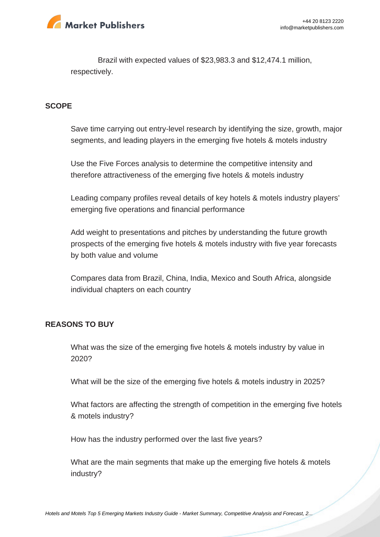

Brazil with expected values of \$23,983.3 and \$12,474.1 million, respectively.

#### **SCOPE**

Save time carrying out entry-level research by identifying the size, growth, major segments, and leading players in the emerging five hotels & motels industry

Use the Five Forces analysis to determine the competitive intensity and therefore attractiveness of the emerging five hotels & motels industry

Leading company profiles reveal details of key hotels & motels industry players' emerging five operations and financial performance

Add weight to presentations and pitches by understanding the future growth prospects of the emerging five hotels & motels industry with five year forecasts by both value and volume

Compares data from Brazil, China, India, Mexico and South Africa, alongside individual chapters on each country

#### **REASONS TO BUY**

What was the size of the emerging five hotels & motels industry by value in 2020?

What will be the size of the emerging five hotels & motels industry in 2025?

What factors are affecting the strength of competition in the emerging five hotels & motels industry?

How has the industry performed over the last five years?

What are the main segments that make up the emerging five hotels & motels industry?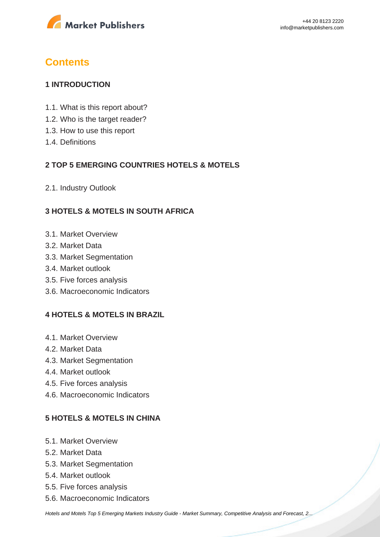

# **Contents**

# **1 INTRODUCTION**

- 1.1. What is this report about?
- 1.2. Who is the target reader?
- 1.3. How to use this report
- 1.4. Definitions

# **2 TOP 5 EMERGING COUNTRIES HOTELS & MOTELS**

2.1. Industry Outlook

# **3 HOTELS & MOTELS IN SOUTH AFRICA**

- 3.1. Market Overview
- 3.2. Market Data
- 3.3. Market Segmentation
- 3.4. Market outlook
- 3.5. Five forces analysis
- 3.6. Macroeconomic Indicators

# **4 HOTELS & MOTELS IN BRAZIL**

- 4.1. Market Overview
- 4.2. Market Data
- 4.3. Market Segmentation
- 4.4. Market outlook
- 4.5. Five forces analysis
- 4.6. Macroeconomic Indicators

# **5 HOTELS & MOTELS IN CHINA**

- 5.1. Market Overview
- 5.2. Market Data
- 5.3. Market Segmentation
- 5.4. Market outlook
- 5.5. Five forces analysis
- 5.6. Macroeconomic Indicators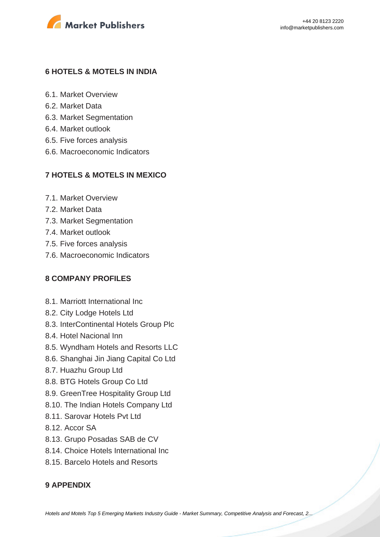

#### **6 HOTELS & MOTELS IN INDIA**

- 6.1. Market Overview
- 6.2. Market Data
- 6.3. Market Segmentation
- 6.4. Market outlook
- 6.5. Five forces analysis
- 6.6. Macroeconomic Indicators

# **7 HOTELS & MOTELS IN MEXICO**

- 7.1. Market Overview
- 7.2. Market Data
- 7.3. Market Segmentation
- 7.4. Market outlook
- 7.5. Five forces analysis
- 7.6. Macroeconomic Indicators

# **8 COMPANY PROFILES**

- 8.1. Marriott International Inc
- 8.2. City Lodge Hotels Ltd
- 8.3. InterContinental Hotels Group Plc
- 8.4. Hotel Nacional Inn
- 8.5. Wyndham Hotels and Resorts LLC
- 8.6. Shanghai Jin Jiang Capital Co Ltd
- 8.7. Huazhu Group Ltd
- 8.8. BTG Hotels Group Co Ltd
- 8.9. GreenTree Hospitality Group Ltd
- 8.10. The Indian Hotels Company Ltd
- 8.11. Sarovar Hotels Pvt Ltd
- 8.12. Accor SA
- 8.13. Grupo Posadas SAB de CV
- 8.14. Choice Hotels International Inc
- 8.15. Barcelo Hotels and Resorts

# **9 APPENDIX**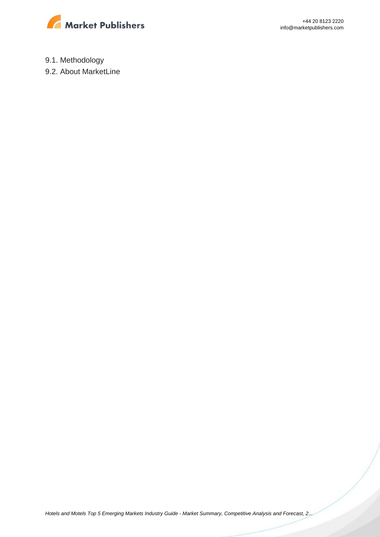

+44 20 8123 2220 info@marketpublishers.com

9.1. Methodology

9.2. About MarketLine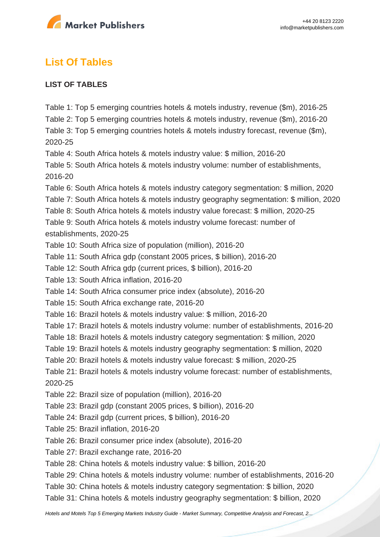

# **List Of Tables**

# **LIST OF TABLES**

Table 1: Top 5 emerging countries hotels & motels industry, revenue (\$m), 2016-25 Table 2: Top 5 emerging countries hotels & motels industry, revenue (\$m), 2016-20 Table 3: Top 5 emerging countries hotels & motels industry forecast, revenue (\$m), 2020-25 Table 4: South Africa hotels & motels industry value: \$ million, 2016-20 Table 5: South Africa hotels & motels industry volume: number of establishments, 2016-20 Table 6: South Africa hotels & motels industry category segmentation: \$ million, 2020 Table 7: South Africa hotels & motels industry geography segmentation: \$ million, 2020 Table 8: South Africa hotels & motels industry value forecast: \$ million, 2020-25 Table 9: South Africa hotels & motels industry volume forecast: number of establishments, 2020-25 Table 10: South Africa size of population (million), 2016-20 Table 11: South Africa gdp (constant 2005 prices, \$ billion), 2016-20 Table 12: South Africa gdp (current prices, \$ billion), 2016-20 Table 13: South Africa inflation, 2016-20 Table 14: South Africa consumer price index (absolute), 2016-20 Table 15: South Africa exchange rate, 2016-20 Table 16: Brazil hotels & motels industry value: \$ million, 2016-20 Table 17: Brazil hotels & motels industry volume: number of establishments, 2016-20 Table 18: Brazil hotels & motels industry category segmentation: \$ million, 2020 Table 19: Brazil hotels & motels industry geography segmentation: \$ million, 2020 Table 20: Brazil hotels & motels industry value forecast: \$ million, 2020-25 Table 21: Brazil hotels & motels industry volume forecast: number of establishments, 2020-25 Table 22: Brazil size of population (million), 2016-20 Table 23: Brazil gdp (constant 2005 prices, \$ billion), 2016-20 Table 24: Brazil gdp (current prices, \$ billion), 2016-20 Table 25: Brazil inflation, 2016-20 Table 26: Brazil consumer price index (absolute), 2016-20 Table 27: Brazil exchange rate, 2016-20 Table 28: China hotels & motels industry value: \$ billion, 2016-20 Table 29: China hotels & motels industry volume: number of establishments, 2016-20 Table 30: China hotels & motels industry category segmentation: \$ billion, 2020 Table 31: China hotels & motels industry geography segmentation: \$ billion, 2020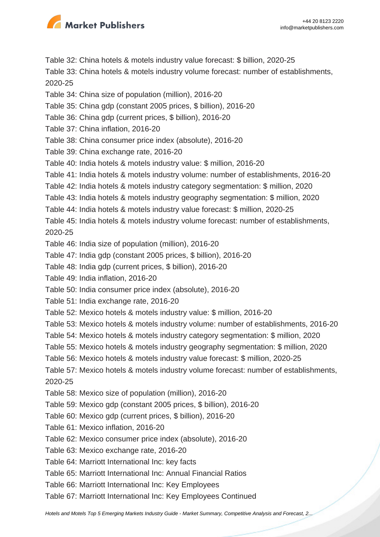

Table 32: China hotels & motels industry value forecast: \$ billion, 2020-25

Table 33: China hotels & motels industry volume forecast: number of establishments, 2020-25

- Table 34: China size of population (million), 2016-20
- Table 35: China gdp (constant 2005 prices, \$ billion), 2016-20
- Table 36: China gdp (current prices, \$ billion), 2016-20
- Table 37: China inflation, 2016-20
- Table 38: China consumer price index (absolute), 2016-20
- Table 39: China exchange rate, 2016-20
- Table 40: India hotels & motels industry value: \$ million, 2016-20
- Table 41: India hotels & motels industry volume: number of establishments, 2016-20
- Table 42: India hotels & motels industry category segmentation: \$ million, 2020
- Table 43: India hotels & motels industry geography segmentation: \$ million, 2020
- Table 44: India hotels & motels industry value forecast: \$ million, 2020-25
- Table 45: India hotels & motels industry volume forecast: number of establishments, 2020-25
- Table 46: India size of population (million), 2016-20
- Table 47: India gdp (constant 2005 prices, \$ billion), 2016-20
- Table 48: India gdp (current prices, \$ billion), 2016-20
- Table 49: India inflation, 2016-20
- Table 50: India consumer price index (absolute), 2016-20
- Table 51: India exchange rate, 2016-20
- Table 52: Mexico hotels & motels industry value: \$ million, 2016-20
- Table 53: Mexico hotels & motels industry volume: number of establishments, 2016-20
- Table 54: Mexico hotels & motels industry category segmentation: \$ million, 2020
- Table 55: Mexico hotels & motels industry geography segmentation: \$ million, 2020
- Table 56: Mexico hotels & motels industry value forecast: \$ million, 2020-25
- Table 57: Mexico hotels & motels industry volume forecast: number of establishments, 2020-25
- Table 58: Mexico size of population (million), 2016-20
- Table 59: Mexico gdp (constant 2005 prices, \$ billion), 2016-20
- Table 60: Mexico gdp (current prices, \$ billion), 2016-20
- Table 61: Mexico inflation, 2016-20
- Table 62: Mexico consumer price index (absolute), 2016-20
- Table 63: Mexico exchange rate, 2016-20
- Table 64: Marriott International Inc: key facts
- Table 65: Marriott International Inc: Annual Financial Ratios
- Table 66: Marriott International Inc: Key Employees
- Table 67: Marriott International Inc: Key Employees Continued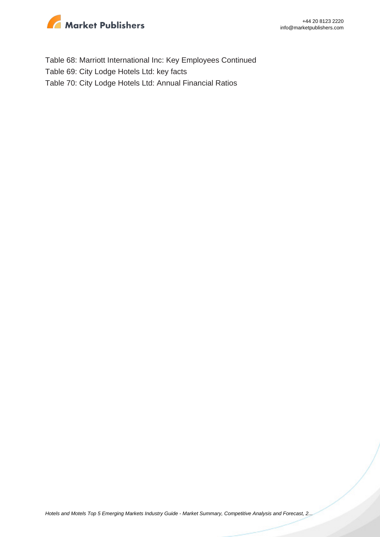

Table 68: Marriott International Inc: Key Employees Continued Table 69: City Lodge Hotels Ltd: key facts Table 70: City Lodge Hotels Ltd: Annual Financial Ratios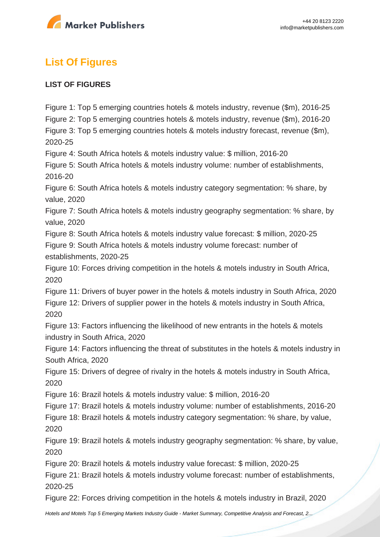

# **List Of Figures**

# **LIST OF FIGURES**

Figure 1: Top 5 emerging countries hotels & motels industry, revenue (\$m), 2016-25 Figure 2: Top 5 emerging countries hotels & motels industry, revenue (\$m), 2016-20 Figure 3: Top 5 emerging countries hotels & motels industry forecast, revenue (\$m), 2020-25 Figure 4: South Africa hotels & motels industry value: \$ million, 2016-20 Figure 5: South Africa hotels & motels industry volume: number of establishments, 2016-20 Figure 6: South Africa hotels & motels industry category segmentation: % share, by value, 2020 Figure 7: South Africa hotels & motels industry geography segmentation: % share, by value, 2020 Figure 8: South Africa hotels & motels industry value forecast: \$ million, 2020-25 Figure 9: South Africa hotels & motels industry volume forecast: number of establishments, 2020-25 Figure 10: Forces driving competition in the hotels & motels industry in South Africa, 2020 Figure 11: Drivers of buyer power in the hotels & motels industry in South Africa, 2020 Figure 12: Drivers of supplier power in the hotels & motels industry in South Africa, 2020 Figure 13: Factors influencing the likelihood of new entrants in the hotels & motels industry in South Africa, 2020 Figure 14: Factors influencing the threat of substitutes in the hotels & motels industry in South Africa, 2020 Figure 15: Drivers of degree of rivalry in the hotels & motels industry in South Africa, 2020 Figure 16: Brazil hotels & motels industry value: \$ million, 2016-20 Figure 17: Brazil hotels & motels industry volume: number of establishments, 2016-20 Figure 18: Brazil hotels & motels industry category segmentation: % share, by value, 2020 Figure 19: Brazil hotels & motels industry geography segmentation: % share, by value, 2020 Figure 20: Brazil hotels & motels industry value forecast: \$ million, 2020-25 Figure 21: Brazil hotels & motels industry volume forecast: number of establishments, 2020-25 Figure 22: Forces driving competition in the hotels & motels industry in Brazil, 2020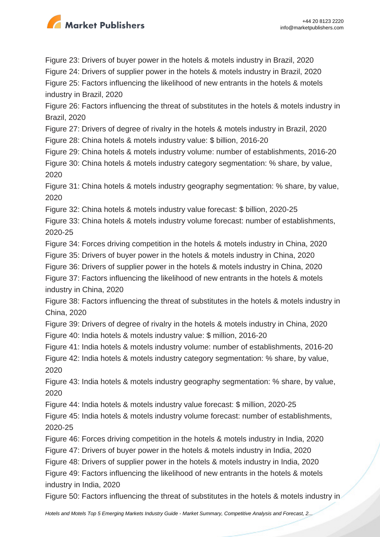

Figure 23: Drivers of buyer power in the hotels & motels industry in Brazil, 2020

Figure 24: Drivers of supplier power in the hotels & motels industry in Brazil, 2020

Figure 25: Factors influencing the likelihood of new entrants in the hotels & motels industry in Brazil, 2020

Figure 26: Factors influencing the threat of substitutes in the hotels & motels industry in Brazil, 2020

Figure 27: Drivers of degree of rivalry in the hotels & motels industry in Brazil, 2020

Figure 28: China hotels & motels industry value: \$ billion, 2016-20

Figure 29: China hotels & motels industry volume: number of establishments, 2016-20 Figure 30: China hotels & motels industry category segmentation: % share, by value, 2020

Figure 31: China hotels & motels industry geography segmentation: % share, by value, 2020

Figure 32: China hotels & motels industry value forecast: \$ billion, 2020-25

Figure 33: China hotels & motels industry volume forecast: number of establishments, 2020-25

Figure 34: Forces driving competition in the hotels & motels industry in China, 2020

Figure 35: Drivers of buyer power in the hotels & motels industry in China, 2020

Figure 36: Drivers of supplier power in the hotels & motels industry in China, 2020

Figure 37: Factors influencing the likelihood of new entrants in the hotels & motels industry in China, 2020

Figure 38: Factors influencing the threat of substitutes in the hotels & motels industry in China, 2020

Figure 39: Drivers of degree of rivalry in the hotels & motels industry in China, 2020 Figure 40: India hotels & motels industry value: \$ million, 2016-20

Figure 41: India hotels & motels industry volume: number of establishments, 2016-20 Figure 42: India hotels & motels industry category segmentation: % share, by value, 2020

Figure 43: India hotels & motels industry geography segmentation: % share, by value, 2020

Figure 44: India hotels & motels industry value forecast: \$ million, 2020-25

Figure 45: India hotels & motels industry volume forecast: number of establishments, 2020-25

Figure 46: Forces driving competition in the hotels & motels industry in India, 2020

Figure 47: Drivers of buyer power in the hotels & motels industry in India, 2020

Figure 48: Drivers of supplier power in the hotels & motels industry in India, 2020

Figure 49: Factors influencing the likelihood of new entrants in the hotels & motels industry in India, 2020

Figure 50: Factors influencing the threat of substitutes in the hotels & motels industry in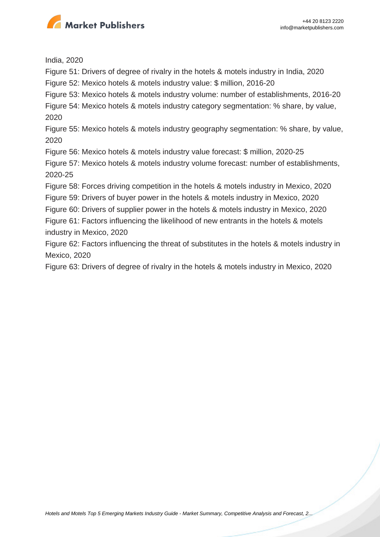

India, 2020

Figure 51: Drivers of degree of rivalry in the hotels & motels industry in India, 2020

Figure 52: Mexico hotels & motels industry value: \$ million, 2016-20

Figure 53: Mexico hotels & motels industry volume: number of establishments, 2016-20

Figure 54: Mexico hotels & motels industry category segmentation: % share, by value, 2020

Figure 55: Mexico hotels & motels industry geography segmentation: % share, by value, 2020

Figure 56: Mexico hotels & motels industry value forecast: \$ million, 2020-25

Figure 57: Mexico hotels & motels industry volume forecast: number of establishments, 2020-25

Figure 58: Forces driving competition in the hotels & motels industry in Mexico, 2020

Figure 59: Drivers of buyer power in the hotels & motels industry in Mexico, 2020

Figure 60: Drivers of supplier power in the hotels & motels industry in Mexico, 2020

Figure 61: Factors influencing the likelihood of new entrants in the hotels & motels industry in Mexico, 2020

Figure 62: Factors influencing the threat of substitutes in the hotels & motels industry in Mexico, 2020

Figure 63: Drivers of degree of rivalry in the hotels & motels industry in Mexico, 2020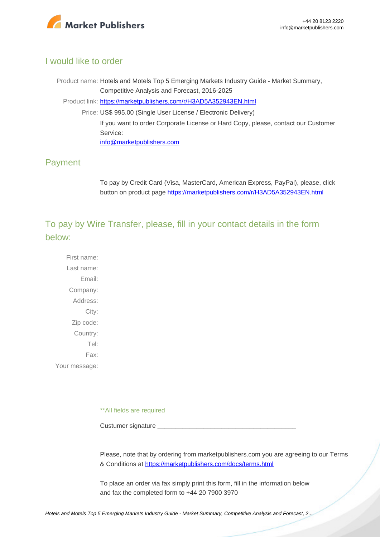

# I would like to order

Product name: Hotels and Motels Top 5 Emerging Markets Industry Guide - Market Summary, Competitive Analysis and Forecast, 2016-2025 Product link: [https://marketpublishers.com/r/H3AD5A352943EN.html](https://marketpublishers.com/report/services/hotels/hotels-n-motels-top-5-emerging-markets-industry-guide-market-summary-competitive-analysis-n-forecast-2016-2025.html) Price: US\$ 995.00 (Single User License / Electronic Delivery) If you want to order Corporate License or Hard Copy, please, contact our Customer Service: [info@marketpublishers.com](mailto:info@marketpublishers.com)

# Payment

To pay by Credit Card (Visa, MasterCard, American Express, PayPal), please, click button on product page [https://marketpublishers.com/r/H3AD5A352943EN.html](https://marketpublishers.com/report/services/hotels/hotels-n-motels-top-5-emerging-markets-industry-guide-market-summary-competitive-analysis-n-forecast-2016-2025.html)

To pay by Wire Transfer, please, fill in your contact details in the form below:

First name: Last name: Email: Company: Address: City: Zip code: Country: Tel: Fax: Your message:

\*\*All fields are required

Custumer signature

Please, note that by ordering from marketpublishers.com you are agreeing to our Terms & Conditions at<https://marketpublishers.com/docs/terms.html>

To place an order via fax simply print this form, fill in the information below and fax the completed form to +44 20 7900 3970